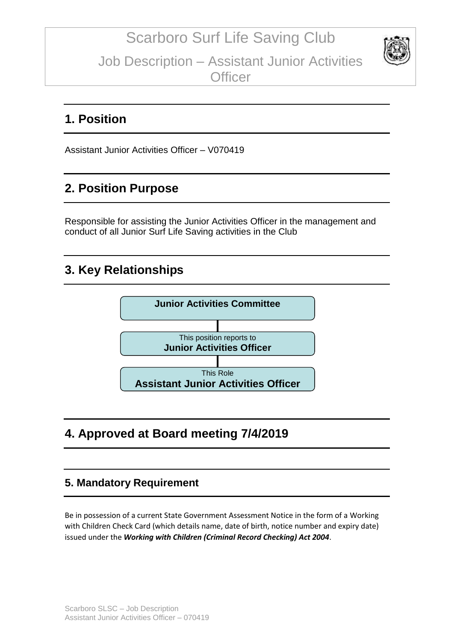

### **1. Position**

Assistant Junior Activities Officer – V070419

### **2. Position Purpose**

Responsible for assisting the Junior Activities Officer in the management and conduct of all Junior Surf Life Saving activities in the Club

### **3. Key Relationships**



# **4. Approved at Board meeting 7/4/2019**

#### **5. Mandatory Requirement**

Be in possession of a current State Government Assessment Notice in the form of a Working with Children Check Card (which details name, date of birth, notice number and expiry date) issued under the *Working with Children (Criminal Record Checking) Act 2004*.